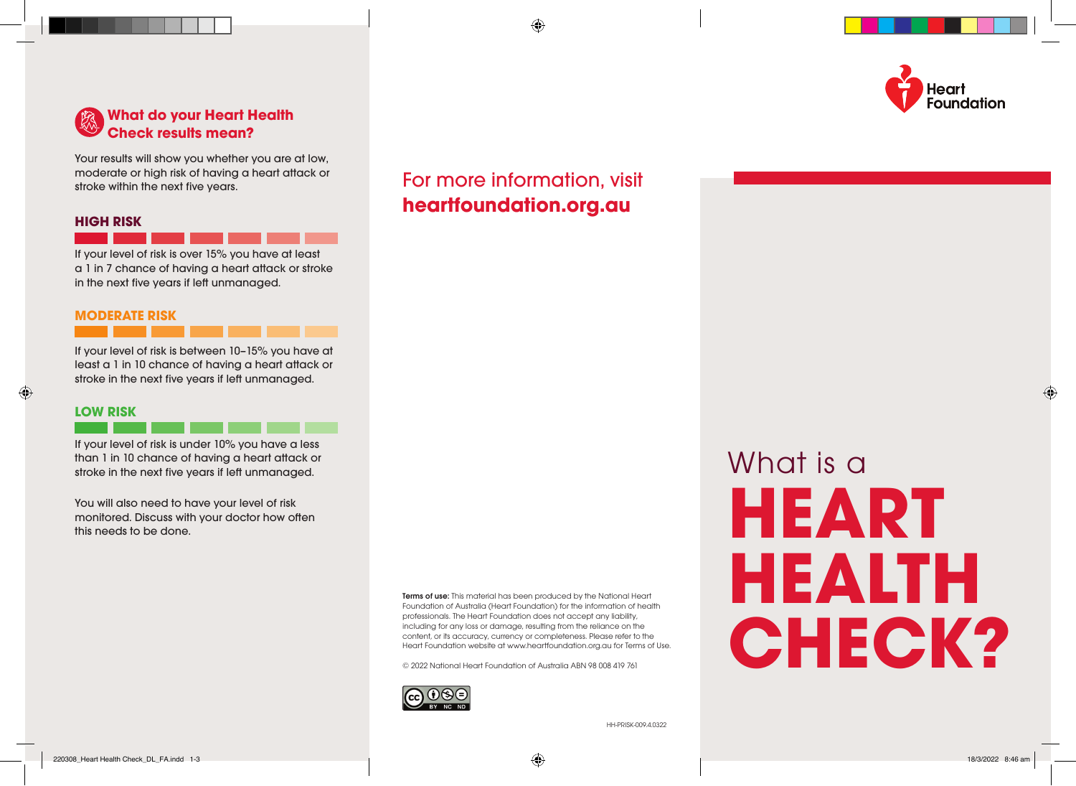



Your results will show you whether you are at low, moderate or high risk of having a heart attack or stroke within the next five years.

#### **HIGH RISK**

If your level of risk is over 15% you have at least a 1 in 7 chance of having a heart attack or stroke in the next five years if left unmanaged.

#### **MODERATE RISK**

If your level of risk is between 10–15% you have at least a 1 in 10 chance of having a heart attack or stroke in the next five years if left unmanaged.

#### **LOW RISK**

If your level of risk is under 10% you have a less than 1 in 10 chance of having a heart attack or stroke in the next five years if left unmanaged.

You will also need to have your level of risk monitored. Discuss with your doctor how often this needs to be done.

> Terms of use: This material has been produced by the National Heart Foundation of Australia (Heart Foundation) for the information of health professionals. The Heart Foundation does not accept any liability, including for any loss or damage, resulting from the reliance on the content, or its accuracy, currency or completeness. Please refer to the Heart Foundation website at www.heartfoundation.org.au for Terms of Use.

© 2022 National Heart Foundation of Australia ABN 98 008 419 761



## For more information, visit **heartfoundation.org.au**

What is a **HEART HEALTH CHECK?**